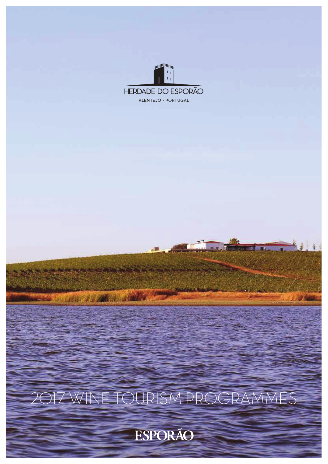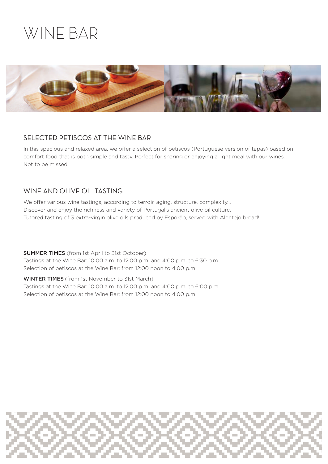## WINE BAR



### SELECTED PETISCOS AT THE WINE BAR

In this spacious and relaxed area, we offer a selection of petiscos (Portuguese version of tapas) based on comfort food that is both simple and tasty. Perfect for sharing or enjoying a light meal with our wines. Not to be missed!

### WINE AND OLIVE OIL TASTING

We offer various wine tastings, according to terroir, aging, structure, complexity... Discover and enjoy the richness and variety of Portugal's ancient olive oil culture. Tutored tasting of 3 extra-virgin olive oils produced by Esporão, served with Alentejo bread!

SUMMER TIMES (from 1st April to 31st October) Tastings at the Wine Bar: 10:00 a.m. to 12:00 p.m. and 4:00 p.m. to 6:30 p.m. Selection of petiscos at the Wine Bar: from 12:00 noon to 4:00 p.m.

WINTER TIMES (from 1st November to 31st March) Tastings at the Wine Bar: 10:00 a.m. to 12:00 p.m. and 4:00 p.m. to 6:00 p.m. Selection of petiscos at the Wine Bar: from 12:00 noon to 4:00 p.m.

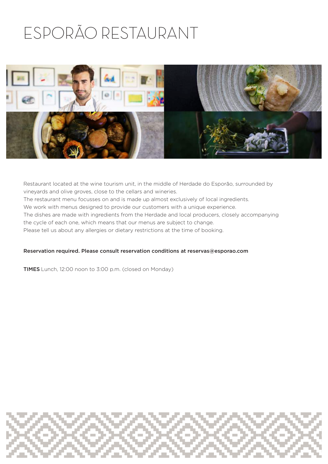# ESPORÃO RESTAURANT



Restaurant located at the wine tourism unit, in the middle of Herdade do Esporão, surrounded by vineyards and olive groves, close to the cellars and wineries. The restaurant menu focusses on and is made up almost exclusively of local ingredients. We work with menus designed to provide our customers with a unique experience. The dishes are made with ingredients from the Herdade and local producers, closely accompanying the cycle of each one, which means that our menus are subject to change. Please tell us about any allergies or dietary restrictions at the time of booking.

#### Reservation required. Please consult reservation conditions at reservas@esporao.com

TIMES Lunch, 12:00 noon to 3:00 p.m. (closed on Monday)

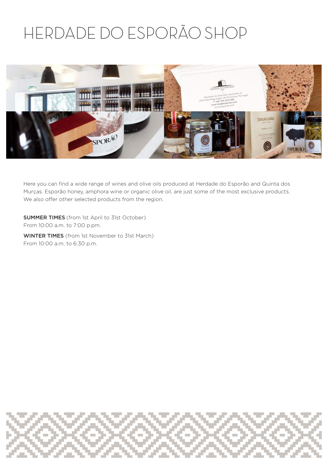## HERDADE DO ESPORÃO SHOP



Here you can find a wide range of wines and olive oils produced at Herdade do Esporão and Quinta dos Murças. Esporão honey, amphora wine or organic olive oil, are just some of the most exclusive products. We also offer other selected products from the region.

SUMMER TIMES (from 1st April to 31st October) From 10:00 a.m. to 7:00 p.pm.

WINTER TIMES (from 1st November to 31st March) From 10:00 a.m. to 6:30 p.m.

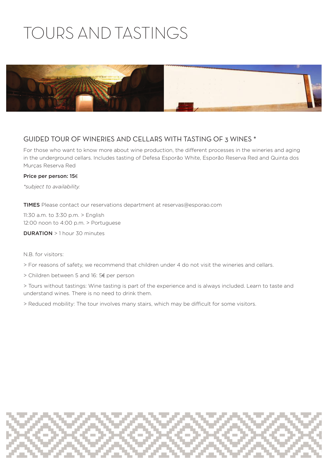# TOURS AND TASTINGS



### GUIDED TOUR OF WINERIES AND CELLARS WITH TASTING OF 3 WINES \*

For those who want to know more about wine production, the different processes in the wineries and aging in the underground cellars. Includes tasting of Defesa Esporão White, Esporão Reserva Red and Quinta dos Murças Reserva Red

#### Price per person: 15€

*\*subject to availability.*

TIMES Please contact our reservations department at reservas@esporao.com

11:30 a.m. to 3:30 p.m. > English 12:00 noon to 4:00 p.m. > Portuguese

DURATION > 1 hour 30 minutes

#### N.B. for visitors:

> For reasons of safety, we recommend that children under 4 do not visit the wineries and cellars.

- > Children between 5 and 16: 5€ per person
- > Tours without tastings: Wine tasting is part of the experience and is always included. Learn to taste and understand wines. There is no need to drink them.

> Reduced mobility: The tour involves many stairs, which may be difficult for some visitors.

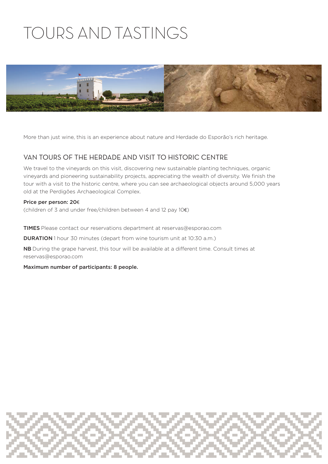# TOURS AND TASTINGS



More than just wine, this is an experience about nature and Herdade do Esporão's rich heritage.

### VAN TOURS OF THE HERDADE AND VISIT TO HISTORIC CENTRE

We travel to the vineyards on this visit, discovering new sustainable planting techniques, organic vineyards and pioneering sustainability projects, appreciating the wealth of diversity. We finish the tour with a visit to the historic centre, where you can see archaeological objects around 5,000 years old at the Perdigões Archaeological Complex.

#### Price per person: 20€

(children of 3 and under free/children between 4 and 12 pay 10€)

TIMES Please contact our reservations department at reservas@esporao.com

DURATION 1 hour 30 minutes (depart from wine tourism unit at 10:30 a.m.)

NB During the grape harvest, this tour will be available at a different time. Consult times at reservas@esporao.com

Maximum number of participants: 8 people.

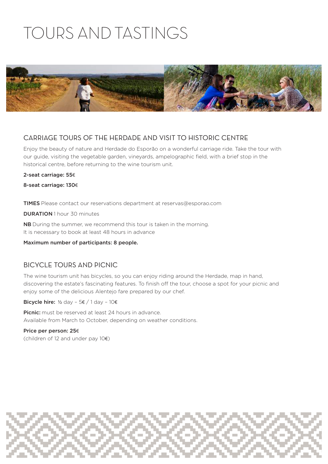# TOURS AND TASTINGS



### CARRIAGE TOURS OF THE HERDADE AND VISIT TO HISTORIC CENTRE

Enjoy the beauty of nature and Herdade do Esporão on a wonderful carriage ride. Take the tour with our guide, visiting the vegetable garden, vineyards, ampelographic field, with a brief stop in the historical centre, before returning to the wine tourism unit.

#### 2-seat carriage: 55€

8-seat carriage: 130€

TIMES Please contact our reservations department at reservas@esporao.com

DURATION 1 hour 30 minutes

NB During the summer, we recommend this tour is taken in the morning. It is necessary to book at least 48 hours in advance

Maximum number of participants: 8 people.

#### BICYCLE TOURS AND PICNIC

The wine tourism unit has bicycles, so you can enjoy riding around the Herdade, map in hand, discovering the estate's fascinating features. To finish off the tour, choose a spot for your picnic and enjoy some of the delicious Alentejo fare prepared by our chef.

Bicycle hire:  $\frac{1}{2}$  day - 5€ / 1 day - 10€

Picnic: must be reserved at least 24 hours in advance. Available from March to October, depending on weather conditions.

Price per person: 25€ (children of 12 and under pay 10€)

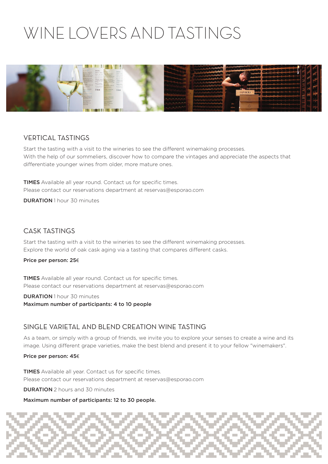## WINE LOVERS AND TASTINGS



### VERTICAL TASTINGS

Start the tasting with a visit to the wineries to see the different winemaking processes. With the help of our sommeliers, discover how to compare the vintages and appreciate the aspects that differentiate younger wines from older, more mature ones.

**TIMES** Available all year round. Contact us for specific times. Please contact our reservations department at reservas@esporao.com

DURATION 1 hour 30 minutes

### CASK TASTINGS

Start the tasting with a visit to the wineries to see the different winemaking processes. Explore the world of oak cask aging via a tasting that compares different casks.

#### Price per person: 25€

TIMES Available all year round. Contact us for specific times. Please contact our reservations department at reservas@esporao.com

**DURATION** 1 hour 30 minutes Maximum number of participants: 4 to 10 people

#### SINGLE VARIETAL AND BLEND CREATION WINE TASTING

As a team, or simply with a group of friends, we invite you to explore your senses to create a wine and its image. Using different grape varieties, make the best blend and present it to your fellow "winemakers".

#### Price per person: 45€

TIMES Available all year. Contact us for specific times. Please contact our reservations department at reservas@esporao.com

DURATION 2 hours and 30 minutes

Maximum number of participants: 12 to 30 people.